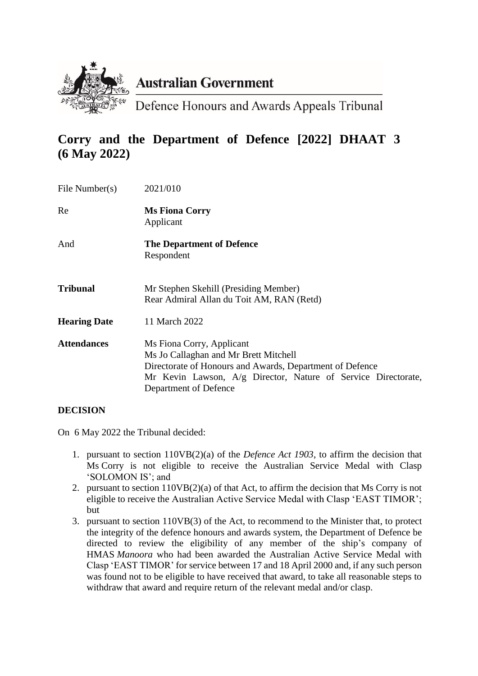

# **Australian Government**

Defence Honours and Awards Appeals Tribunal

# **Corry and the Department of Defence [2022] DHAAT 3 (6 May 2022)**

| File Number(s)      | 2021/010                                                                                                                                                                                                                 |
|---------------------|--------------------------------------------------------------------------------------------------------------------------------------------------------------------------------------------------------------------------|
| Re                  | <b>Ms Fiona Corry</b><br>Applicant                                                                                                                                                                                       |
| And                 | <b>The Department of Defence</b><br>Respondent                                                                                                                                                                           |
| Tribunal            | Mr Stephen Skehill (Presiding Member)<br>Rear Admiral Allan du Toit AM, RAN (Retd)                                                                                                                                       |
| <b>Hearing Date</b> | 11 March 2022                                                                                                                                                                                                            |
| <b>Attendances</b>  | Ms Fiona Corry, Applicant<br>Ms Jo Callaghan and Mr Brett Mitchell<br>Directorate of Honours and Awards, Department of Defence<br>Mr Kevin Lawson, A/g Director, Nature of Service Directorate,<br>Department of Defence |

# **DECISION**

On 6 May 2022 the Tribunal decided:

- 1. pursuant to section 110VB(2)(a) of the *Defence Act 1903*, to affirm the decision that Ms Corry is not eligible to receive the Australian Service Medal with Clasp 'SOLOMON IS'; and
- 2. pursuant to section 110VB(2)(a) of that Act, to affirm the decision that Ms Corry is not eligible to receive the Australian Active Service Medal with Clasp 'EAST TIMOR'; but
- 3. pursuant to section 110VB(3) of the Act, to recommend to the Minister that, to protect the integrity of the defence honours and awards system, the Department of Defence be directed to review the eligibility of any member of the ship's company of HMAS *Manoora* who had been awarded the Australian Active Service Medal with Clasp 'EAST TIMOR' for service between 17 and 18 April 2000 and, if any such person was found not to be eligible to have received that award, to take all reasonable steps to withdraw that award and require return of the relevant medal and/or clasp.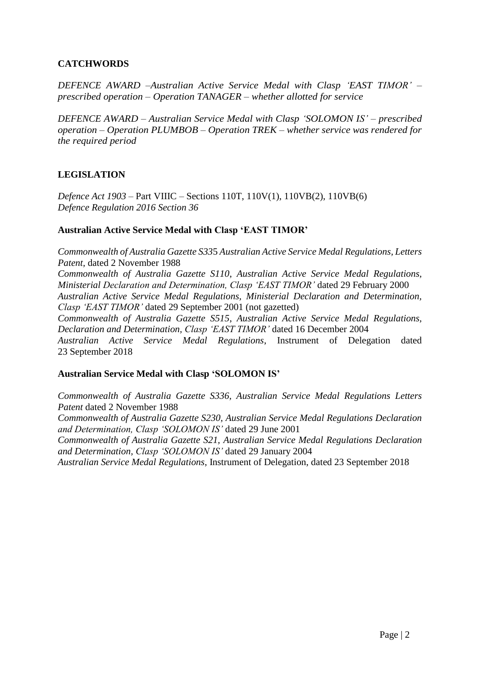## **CATCHWORDS**

*DEFENCE AWARD –Australian Active Service Medal with Clasp 'EAST TIMOR' – prescribed operation – Operation TANAGER – whether allotted for service*

*DEFENCE AWARD – Australian Service Medal with Clasp 'SOLOMON IS' – prescribed operation – Operation PLUMBOB – Operation TREK – whether service was rendered for the required period*

## **LEGISLATION**

*Defence Act 1903 –* Part VIIIC – Sections 110T, 110V(1), 110VB(2), 110VB(6) *Defence Regulation 2016 Section 36*

#### **Australian Active Service Medal with Clasp 'EAST TIMOR'**

*Commonwealth of Australia Gazette S33*5 *Australian Active Service Medal Regulations, Letters Patent,* dated 2 November 1988

*Commonwealth of Australia Gazette S110*, *Australian Active Service Medal Regulations, Ministerial Declaration and Determination, Clasp 'EAST TIMOR'* dated 29 February 2000 *Australian Active Service Medal Regulations, Ministerial Declaration and Determination, Clasp 'EAST TIMOR'* dated 29 September 2001 (not gazetted)

*Commonwealth of Australia Gazette S515*, *Australian Active Service Medal Regulations, Declaration and Determination, Clasp 'EAST TIMOR'* dated 16 December 2004

*Australian Active Service Medal Regulations*, Instrument of Delegation dated 23 September 2018

#### **Australian Service Medal with Clasp 'SOLOMON IS'**

*Commonwealth of Australia Gazette S336, Australian Service Medal Regulations Letters Patent* dated 2 November 1988

*Commonwealth of Australia Gazette S230, Australian Service Medal Regulations Declaration and Determination, Clasp 'SOLOMON IS'* dated 29 June 2001

*Commonwealth of Australia Gazette S21, Australian Service Medal Regulations Declaration and Determination, Clasp 'SOLOMON IS'* dated 29 January 2004

*Australian Service Medal Regulations*, Instrument of Delegation, dated 23 September 2018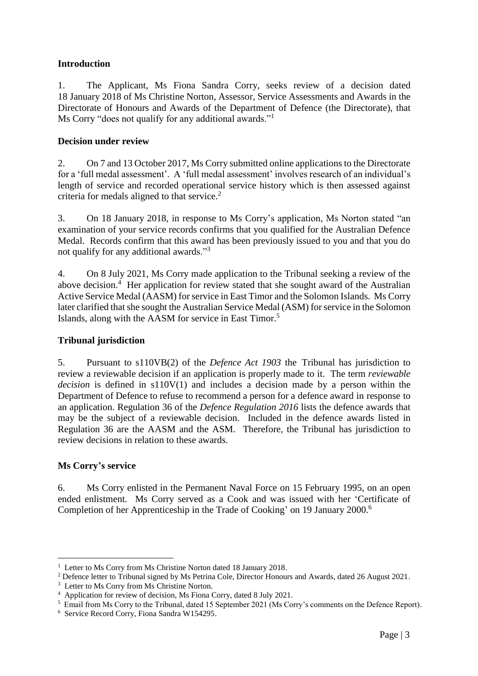## **Introduction**

1. The Applicant, Ms Fiona Sandra Corry, seeks review of a decision dated 18 January 2018 of Ms Christine Norton, Assessor, Service Assessments and Awards in the Directorate of Honours and Awards of the Department of Defence (the Directorate), that Ms Corry "does not qualify for any additional awards."<sup>1</sup>

## **Decision under review**

2. On 7 and 13 October 2017, Ms Corry submitted online applications to the Directorate for a 'full medal assessment'. A 'full medal assessment' involves research of an individual's length of service and recorded operational service history which is then assessed against criteria for medals aligned to that service.<sup>2</sup>

3. On 18 January 2018, in response to Ms Corry's application, Ms Norton stated "an examination of your service records confirms that you qualified for the Australian Defence Medal. Records confirm that this award has been previously issued to you and that you do not qualify for any additional awards."<sup>3</sup>

4. On 8 July 2021, Ms Corry made application to the Tribunal seeking a review of the above decision.<sup>4</sup> Her application for review stated that she sought award of the Australian Active Service Medal (AASM) for service in East Timor and the Solomon Islands. Ms Corry later clarified that she sought the Australian Service Medal (ASM) for service in the Solomon Islands, along with the AASM for service in East Timor.<sup>5</sup>

## **Tribunal jurisdiction**

5. Pursuant to s110VB(2) of the *Defence Act 1903* the Tribunal has jurisdiction to review a reviewable decision if an application is properly made to it. The term *reviewable decision* is defined in s110V(1) and includes a decision made by a person within the Department of Defence to refuse to recommend a person for a defence award in response to an application. Regulation 36 of the *Defence Regulation 2016* lists the defence awards that may be the subject of a reviewable decision. Included in the defence awards listed in Regulation 36 are the AASM and the ASM. Therefore, the Tribunal has jurisdiction to review decisions in relation to these awards.

## **Ms Corry's service**

1

6. Ms Corry enlisted in the Permanent Naval Force on 15 February 1995, on an open ended enlistment. Ms Corry served as a Cook and was issued with her 'Certificate of Completion of her Apprenticeship in the Trade of Cooking' on 19 January 2000.<sup>6</sup>

<sup>&</sup>lt;sup>1</sup> Letter to Ms Corry from Ms Christine Norton dated 18 January 2018.

<sup>&</sup>lt;sup>2</sup> Defence letter to Tribunal signed by Ms Petrina Cole, Director Honours and Awards, dated 26 August 2021.

<sup>&</sup>lt;sup>3</sup> Letter to Ms Corry from Ms Christine Norton.

<sup>4</sup> Application for review of decision, Ms Fiona Corry, dated 8 July 2021.

<sup>5</sup> Email from Ms Corry to the Tribunal, dated 15 September 2021 (Ms Corry's comments on the Defence Report).

<sup>6</sup> Service Record Corry, Fiona Sandra W154295.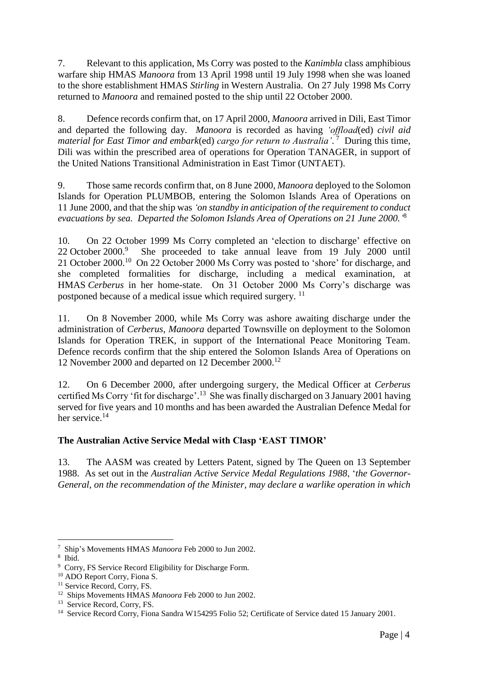7. Relevant to this application, Ms Corry was posted to the *Kanimbla* class amphibious warfare ship HMAS *Manoora* from 13 April 1998 until 19 July 1998 when she was loaned to the shore establishment HMAS *Stirling* in Western Australia. On 27 July 1998 Ms Corry returned to *Manoora* and remained posted to the ship until 22 October 2000.

8. Defence records confirm that, on 17 April 2000, *Manoora* arrived in Dili, East Timor and departed the following day. *Manoora* is recorded as having *'offload*(ed) *civil aid material for East Timor and embark*(ed) *cargo for return to Australia'*. 7 During this time, Dili was within the prescribed area of operations for Operation TANAGER, in support of the United Nations Transitional Administration in East Timor (UNTAET).

9. Those same records confirm that, on 8 June 2000, *Manoora* deployed to the Solomon Islands for Operation PLUMBOB, entering the Solomon Islands Area of Operations on 11 June 2000, and that the ship was *'on standby in anticipation of the requirement to conduct evacuations by sea. Departed the Solomon Islands Area of Operations on 21 June 2000.'* 8

10. On 22 October 1999 Ms Corry completed an 'election to discharge' effective on 22 October 2000.<sup>9</sup> She proceeded to take annual leave from 19 July 2000 until 21 October 2000.<sup>10</sup> On 22 October 2000 Ms Corry was posted to 'shore' for discharge, and she completed formalities for discharge, including a medical examination, at HMAS *Cerberus* in her home-state. On 31 October 2000 Ms Corry's discharge was postponed because of a medical issue which required surgery. <sup>11</sup>

11. On 8 November 2000, while Ms Corry was ashore awaiting discharge under the administration of *Cerberus*, *Manoora* departed Townsville on deployment to the Solomon Islands for Operation TREK, in support of the International Peace Monitoring Team. Defence records confirm that the ship entered the Solomon Islands Area of Operations on 12 November 2000 and departed on 12 December 2000.<sup>12</sup>

12. On 6 December 2000, after undergoing surgery, the Medical Officer at *Cerberus* certified Ms Corry 'fit for discharge'.<sup>13</sup> She was finally discharged on 3 January 2001 having served for five years and 10 months and has been awarded the Australian Defence Medal for her service.<sup>14</sup>

# **The Australian Active Service Medal with Clasp 'EAST TIMOR'**

13. The AASM was created by Letters Patent, signed by The Queen on 13 September 1988. As set out in the *Australian Active Service Medal Regulations 1988*, '*the Governor-General, on the recommendation of the Minister, may declare a warlike operation in which* 

<sup>&</sup>lt;u>.</u> 7 Ship's Movements HMAS *Manoora* Feb 2000 to Jun 2002.

<sup>8</sup> Ibid.

<sup>&</sup>lt;sup>9</sup> Corry, FS Service Record Eligibility for Discharge Form.

<sup>&</sup>lt;sup>10</sup> ADO Report Corry, Fiona S.

<sup>&</sup>lt;sup>11</sup> Service Record, Corry, FS.

<sup>12</sup> Ships Movements HMAS *Manoora* Feb 2000 to Jun 2002.

<sup>&</sup>lt;sup>13</sup> Service Record, Corry, FS.

<sup>&</sup>lt;sup>14</sup> Service Record Corry, Fiona Sandra W154295 Folio 52; Certificate of Service dated 15 January 2001.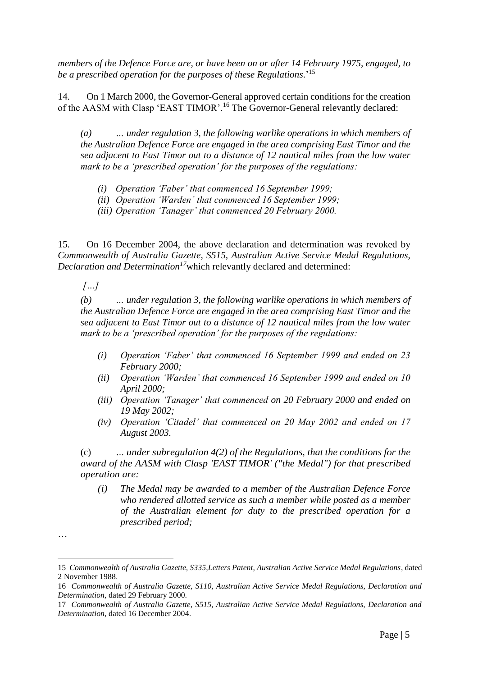*members of the Defence Force are, or have been on or after 14 February 1975, engaged, to be a prescribed operation for the purposes of these Regulations*.' 15

14. On 1 March 2000, the Governor-General approved certain conditions for the creation of the AASM with Clasp 'EAST TIMOR'.<sup>16</sup> The Governor-General relevantly declared:

*(a) … under regulation 3, the following warlike operations in which members of the Australian Defence Force are engaged in the area comprising East Timor and the sea adjacent to East Timor out to a distance of 12 nautical miles from the low water mark to be a 'prescribed operation' for the purposes of the regulations:*

- *(i) Operation 'Faber' that commenced 16 September 1999;*
- *(ii) Operation 'Warden' that commenced 16 September 1999;*
- *(iii) Operation 'Tanager' that commenced 20 February 2000.*

15. On 16 December 2004, the above declaration and determination was revoked by *Commonwealth of Australia Gazette, S515, Australian Active Service Medal Regulations, Declaration and Determination<sup>17</sup>*which relevantly declared and determined:

*[…]*

*(b) … under regulation 3, the following warlike operations in which members of the Australian Defence Force are engaged in the area comprising East Timor and the sea adjacent to East Timor out to a distance of 12 nautical miles from the low water mark to be a 'prescribed operation' for the purposes of the regulations:*

- *(i) Operation 'Faber' that commenced 16 September 1999 and ended on 23 February 2000;*
- *(ii) Operation 'Warden' that commenced 16 September 1999 and ended on 10 April 2000;*
- *(iii) Operation 'Tanager' that commenced on 20 February 2000 and ended on 19 May 2002;*
- *(iv) Operation 'Citadel' that commenced on 20 May 2002 and ended on 17 August 2003.*

(c) *… under subregulation 4(2) of the Regulations, that the conditions for the award of the AASM with Clasp 'EAST TIMOR' ("the Medal") for that prescribed operation are:*

*(i) The Medal may be awarded to a member of the Australian Defence Force who rendered allotted service as such a member while posted as a member of the Australian element for duty to the prescribed operation for a prescribed period;*

1

<sup>…</sup>

<sup>15</sup> *Commonwealth of Australia Gazette, S335,Letters Patent, Australian Active Service Medal Regulations*, dated 2 November 1988.

<sup>16</sup> *Commonwealth of Australia Gazette, S110, Australian Active Service Medal Regulations, Declaration and Determination,* dated 29 February 2000.

<sup>17</sup> *Commonwealth of Australia Gazette, S515, Australian Active Service Medal Regulations, Declaration and Determination,* dated 16 December 2004.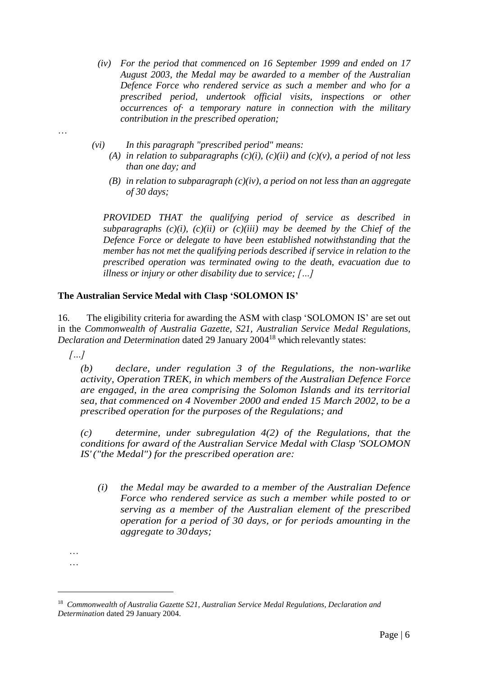- *(iv) For the period that commenced on 16 September 1999 and ended on 17 August 2003, the Medal may be awarded to a member of the Australian Defence Force who rendered service as such a member and who for a prescribed period, undertook official visits, inspections or other occurrences of· a temporary nature in connection with the military contribution in the prescribed operation;*
- *(vi) In this paragraph "prescribed period" means:*
	- *(A) in relation to subparagraphs*  $(c)(i)$ *,*  $(c)(ii)$  *and*  $(c)(v)$ *, a period of not less than one day; and*
	- *(B) in relation to subparagraph (c)(iv), a period on not less than an aggregate of 30 days;*

*PROVIDED THAT the qualifying period of service as described in*  subparagraphs  $(c)(i)$ ,  $(c)(ii)$  or  $(c)(iii)$  may be deemed by the Chief of the *Defence Force or delegate to have been established notwithstanding that the member has not met the qualifying periods described if service in relation to the prescribed operation was terminated owing to the death, evacuation due to illness or injury or other disability due to service; […]*

## **The Australian Service Medal with Clasp 'SOLOMON IS'**

16. The eligibility criteria for awarding the ASM with clasp 'SOLOMON IS' are set out in the *Commonwealth of Australia Gazette, S21, Australian Service Medal Regulations, Declaration and Determination* dated 29 January 2004<sup>18</sup> which relevantly states:

*[…]*

…

*(b) declare, under regulation 3 of the Regulations, the non-warlike activity, Operation TREK, in which members of the Australian Defence Force are engaged, in the area comprising the Solomon Islands and its territorial sea, that commenced on 4 November 2000 and ended 15 March 2002, to be a prescribed operation for the purposes of the Regulations; and*

*(c) determine, under subregulation 4(2) of the Regulations, that the conditions for award of the Australian Service Medal with Clasp 'SOLOMON IS'("the Medal") for the prescribed operation are:*

*(i) the Medal may be awarded to a member of the Australian Defence Force who rendered service as such a member while posted to or serving as a member of the Australian element of the prescribed operation for a period of 30 days, or for periods amounting in the aggregate to 30days;*

<u>.</u>

<sup>…</sup> …

<sup>&</sup>lt;sup>18</sup> Commonwealth of Australia Gazette S21, Australian Service Medal Regulations, Declaration and *Determination* dated 29 January 2004.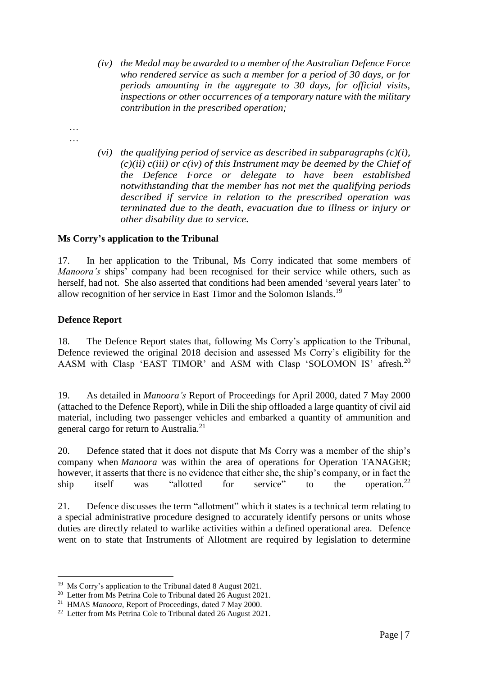- *(iv) the Medal may be awarded to a member of the Australian Defence Force who rendered service as such a member for a period of 30 days, or for periods amounting in the aggregate to 30 days, for official visits, inspections or other occurrences of a temporary nature with the military contribution in the prescribed operation;*
- … …
- *(vi) the qualifying period of service as described in subparagraphs (c)(i), (c)(ii) c(iii) or c(iv) of this Instrument may be deemed by the Chief of the Defence Force or delegate to have been established notwithstanding that the member has not met the qualifying periods described if service in relation to the prescribed operation was terminated due to the death, evacuation due to illness or injury or other disability due to service.*

## **Ms Corry's application to the Tribunal**

17. In her application to the Tribunal, Ms Corry indicated that some members of *Manoora's* ships' company had been recognised for their service while others, such as herself, had not. She also asserted that conditions had been amended 'several years later' to allow recognition of her service in East Timor and the Solomon Islands.<sup>19</sup>

#### **Defence Report**

<u>.</u>

18. The Defence Report states that, following Ms Corry's application to the Tribunal, Defence reviewed the original 2018 decision and assessed Ms Corry's eligibility for the AASM with Clasp 'EAST TIMOR' and ASM with Clasp 'SOLOMON IS' afresh.<sup>20</sup>

19. As detailed in *Manoora's* Report of Proceedings for April 2000, dated 7 May 2000 (attached to the Defence Report), while in Dili the ship offloaded a large quantity of civil aid material, including two passenger vehicles and embarked a quantity of ammunition and general cargo for return to Australia.<sup>21</sup>

20. Defence stated that it does not dispute that Ms Corry was a member of the ship's company when *Manoora* was within the area of operations for Operation TANAGER; however, it asserts that there is no evidence that either she, the ship's company, or in fact the ship itself was "allotted for service" to the operation.<sup>22</sup>

21. Defence discusses the term "allotment" which it states is a technical term relating to a special administrative procedure designed to accurately identify persons or units whose duties are directly related to warlike activities within a defined operational area. Defence went on to state that Instruments of Allotment are required by legislation to determine

<sup>&</sup>lt;sup>19</sup> Ms Corry's application to the Tribunal dated 8 August 2021.

<sup>&</sup>lt;sup>20</sup> Letter from Ms Petrina Cole to Tribunal dated 26 August 2021.

<sup>21</sup> HMAS *Manoora*, Report of Proceedings, dated 7 May 2000.

 $22$  Letter from Ms Petrina Cole to Tribunal dated 26 August 2021.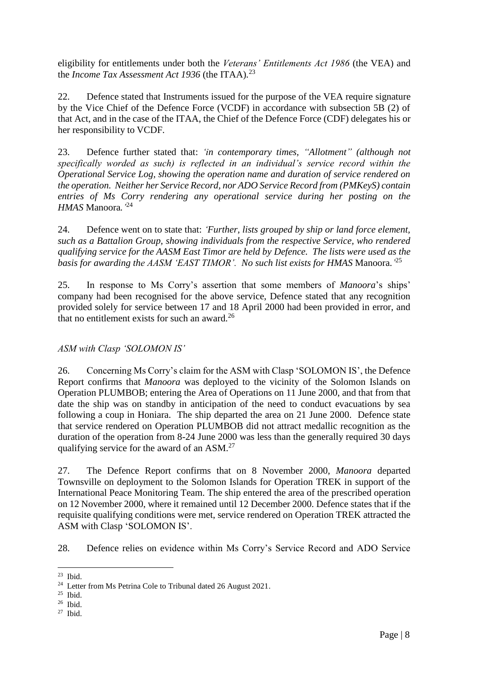eligibility for entitlements under both the *Veterans' Entitlements Act 1986* (the VEA) and the *Income Tax Assessment Act 1936* (the ITAA)*.* 23

22. Defence stated that Instruments issued for the purpose of the VEA require signature by the Vice Chief of the Defence Force (VCDF) in accordance with subsection 5B (2) of that Act, and in the case of the ITAA, the Chief of the Defence Force (CDF) delegates his or her responsibility to VCDF.

23. Defence further stated that: *'in contemporary times, "Allotment" (although not specifically worded as such) is reflected in an individual's service record within the Operational Service Log, showing the operation name and duration of service rendered on the operation. Neither her Service Record, nor ADO Service Record from (PMKeyS) contain entries of Ms Corry rendering any operational service during her posting on the HMAS* Manoora*.'* 24

24. Defence went on to state that: *'Further, lists grouped by ship or land force element, such as a Battalion Group, showing individuals from the respective Service, who rendered qualifying service for the AASM East Timor are held by Defence. The lists were used as the basis for awarding the AASM 'EAST TIMOR'. No such list exists for HMAS* Manoora.*'* 25

25. In response to Ms Corry's assertion that some members of *Manoora*'s ships' company had been recognised for the above service, Defence stated that any recognition provided solely for service between 17 and 18 April 2000 had been provided in error, and that no entitlement exists for such an award.<sup>26</sup>

# *ASM with Clasp 'SOLOMON IS'*

26. Concerning Ms Corry's claim for the ASM with Clasp 'SOLOMON IS', the Defence Report confirms that *Manoora* was deployed to the vicinity of the Solomon Islands on Operation PLUMBOB; entering the Area of Operations on 11 June 2000, and that from that date the ship was on standby in anticipation of the need to conduct evacuations by sea following a coup in Honiara. The ship departed the area on 21 June 2000. Defence state that service rendered on Operation PLUMBOB did not attract medallic recognition as the duration of the operation from 8-24 June 2000 was less than the generally required 30 days qualifying service for the award of an ASM.<sup>27</sup>

27. The Defence Report confirms that on 8 November 2000, *Manoora* departed Townsville on deployment to the Solomon Islands for Operation TREK in support of the International Peace Monitoring Team. The ship entered the area of the prescribed operation on 12 November 2000, where it remained until 12 December 2000. Defence states that if the requisite qualifying conditions were met, service rendered on Operation TREK attracted the ASM with Clasp 'SOLOMON IS'.

28. Defence relies on evidence within Ms Corry's Service Record and ADO Service

 $\frac{23}{23}$  Ibid.

<sup>&</sup>lt;sup>24</sup> Letter from Ms Petrina Cole to Tribunal dated 26 August 2021.

<sup>25</sup> Ibid.

<sup>26</sup> Ibid.

 $27$  Ibid.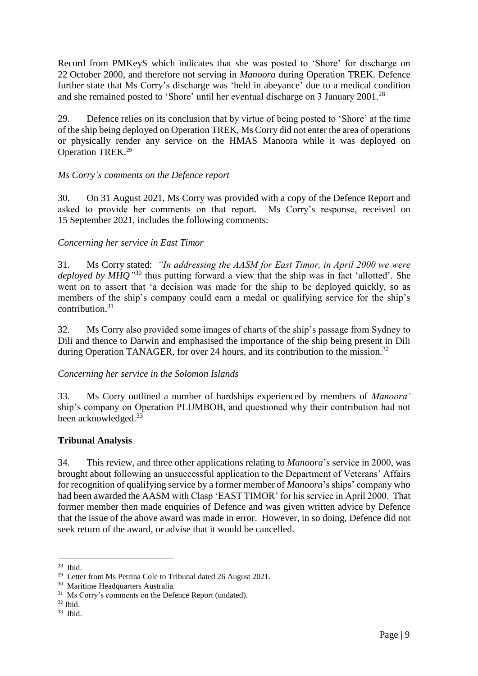Record from PMKeyS which indicates that she was posted to 'Shore' for discharge on 22 October 2000, and therefore not serving in *Manoora* during Operation TREK. Defence further state that Ms Corry's discharge was 'held in abeyance' due to a medical condition and she remained posted to 'Shore' until her eventual discharge on 3 January 2001.<sup>28</sup>

29. Defence relies on its conclusion that by virtue of being posted to 'Shore' at the time of the ship being deployed on Operation TREK, Ms Corry did not enter the area of operations or physically render any service on the HMAS Manoora while it was deployed on Operation TREK. 29

## *Ms Corry's comments on the Defence report*

30. On 31 August 2021, Ms Corry was provided with a copy of the Defence Report and asked to provide her comments on that report. Ms Corry's response, received on 15 September 2021, includes the following comments:

## *Concerning her service in East Timor*

31. Ms Corry stated: *"In addressing the AASM for East Timor, in April 2000 we were*  deployed by MHQ<sup>'30</sup> thus putting forward a view that the ship was in fact 'allotted'. She went on to assert that 'a decision was made for the ship to be deployed quickly, so as members of the ship's company could earn a medal or qualifying service for the ship's contribution.<sup>31</sup>

32. Ms Corry also provided some images of charts of the ship's passage from Sydney to Dili and thence to Darwin and emphasised the importance of the ship being present in Dili during Operation TANAGER, for over 24 hours, and its contribution to the mission.<sup>32</sup>

## *Concerning her service in the Solomon Islands*

33. Ms Corry outlined a number of hardships experienced by members of *Manoora'* ship's company on Operation PLUMBOB, and questioned why their contribution had not been acknowledged.<sup>33</sup>

#### **Tribunal Analysis**

34. This review, and three other applications relating to *Manoora*'s service in 2000, was brought about following an unsuccessful application to the Department of Veterans' Affairs for recognition of qualifying service by a former member of *Manoora*'s ships' company who had been awarded the AASM with Clasp 'EAST TIMOR' for his service in April 2000. That former member then made enquiries of Defence and was given written advice by Defence that the issue of the above award was made in error. However, in so doing, Defence did not seek return of the award, or advise that it would be cancelled.

 $28$  Ibid.

<sup>&</sup>lt;sup>29</sup> Letter from Ms Petrina Cole to Tribunal dated 26 August 2021.

<sup>30</sup> Maritime Headquarters Australia.

<sup>&</sup>lt;sup>31</sup> Ms Corry's comments on the Defence Report (undated).

 $32$  Ibid.

<sup>33</sup> Ibid.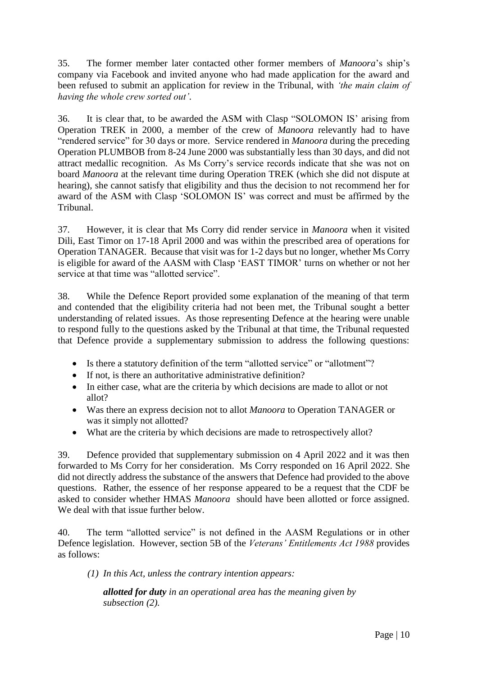35. The former member later contacted other former members of *Manoora*'s ship's company via Facebook and invited anyone who had made application for the award and been refused to submit an application for review in the Tribunal, with *'the main claim of having the whole crew sorted out'*.

36. It is clear that, to be awarded the ASM with Clasp "SOLOMON IS' arising from Operation TREK in 2000, a member of the crew of *Manoora* relevantly had to have "rendered service" for 30 days or more. Service rendered in *Manoora* during the preceding Operation PLUMBOB from 8-24 June 2000 was substantially less than 30 days, and did not attract medallic recognition. As Ms Corry's service records indicate that she was not on board *Manoora* at the relevant time during Operation TREK (which she did not dispute at hearing), she cannot satisfy that eligibility and thus the decision to not recommend her for award of the ASM with Clasp 'SOLOMON IS' was correct and must be affirmed by the Tribunal.

37. However, it is clear that Ms Corry did render service in *Manoora* when it visited Dili, East Timor on 17-18 April 2000 and was within the prescribed area of operations for Operation TANAGER. Because that visit was for 1-2 days but no longer, whether Ms Corry is eligible for award of the AASM with Clasp 'EAST TIMOR' turns on whether or not her service at that time was "allotted service".

38. While the Defence Report provided some explanation of the meaning of that term and contended that the eligibility criteria had not been met, the Tribunal sought a better understanding of related issues. As those representing Defence at the hearing were unable to respond fully to the questions asked by the Tribunal at that time, the Tribunal requested that Defence provide a supplementary submission to address the following questions:

- Is there a statutory definition of the term "allotted service" or "allotment"?
- If not, is there an authoritative administrative definition?
- In either case, what are the criteria by which decisions are made to allot or not allot?
- Was there an express decision not to allot *Manoora* to Operation TANAGER or was it simply not allotted?
- What are the criteria by which decisions are made to retrospectively allot?

39. Defence provided that supplementary submission on 4 April 2022 and it was then forwarded to Ms Corry for her consideration. Ms Corry responded on 16 April 2022. She did not directly address the substance of the answers that Defence had provided to the above questions. Rather, the essence of her response appeared to be a request that the CDF be asked to consider whether HMAS *Manoora* should have been allotted or force assigned. We deal with that issue further below.

40. The term "allotted service" is not defined in the AASM Regulations or in other Defence legislation. However, section 5B of the *Veterans' Entitlements Act 1988* provides as follows:

*(1) In this Act, unless the contrary intention appears:*

*allotted for duty in an operational area has the meaning given by subsection (2).*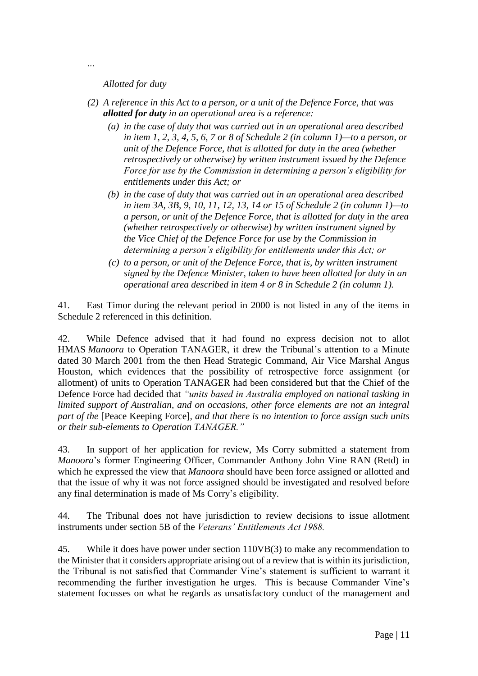*Allotted for duty*

- *(2) A reference in this Act to a person, or a unit of the Defence Force, that was allotted for duty in an operational area is a reference:*
	- *(a) in the case of duty that was carried out in an operational area described in item 1, 2, 3, 4, 5, 6, 7 or 8 of Schedule 2 (in column 1)—to a person, or unit of the Defence Force, that is allotted for duty in the area (whether retrospectively or otherwise) by written instrument issued by the Defence Force for use by the Commission in determining a person's eligibility for entitlements under this Act; or*
	- *(b) in the case of duty that was carried out in an operational area described in item 3A, 3B, 9, 10, 11, 12, 13, 14 or 15 of Schedule 2 (in column 1)—to a person, or unit of the Defence Force, that is allotted for duty in the area (whether retrospectively or otherwise) by written instrument signed by the Vice Chief of the Defence Force for use by the Commission in determining a person's eligibility for entitlements under this Act; or*
	- *(c) to a person, or unit of the Defence Force, that is, by written instrument signed by the Defence Minister, taken to have been allotted for duty in an operational area described in item 4 or 8 in Schedule 2 (in column 1).*

41. East Timor during the relevant period in 2000 is not listed in any of the items in Schedule 2 referenced in this definition.

42. While Defence advised that it had found no express decision not to allot HMAS *Manoora* to Operation TANAGER, it drew the Tribunal's attention to a Minute dated 30 March 2001 from the then Head Strategic Command, Air Vice Marshal Angus Houston, which evidences that the possibility of retrospective force assignment (or allotment) of units to Operation TANAGER had been considered but that the Chief of the Defence Force had decided that *"units based in Australia employed on national tasking in limited support of Australian, and on occasions, other force elements are not an integral part of the* [Peace Keeping Force]*, and that there is no intention to force assign such units or their sub-elements to Operation TANAGER."*

43. In support of her application for review, Ms Corry submitted a statement from *Manoora*'s former Engineering Officer, Commander Anthony John Vine RAN (Retd) in which he expressed the view that *Manoora* should have been force assigned or allotted and that the issue of why it was not force assigned should be investigated and resolved before any final determination is made of Ms Corry's eligibility.

44. The Tribunal does not have jurisdiction to review decisions to issue allotment instruments under section 5B of the *Veterans' Entitlements Act 1988.* 

45. While it does have power under section 110VB(3) to make any recommendation to the Minister that it considers appropriate arising out of a review that is within its jurisdiction, the Tribunal is not satisfied that Commander Vine's statement is sufficient to warrant it recommending the further investigation he urges. This is because Commander Vine's statement focusses on what he regards as unsatisfactory conduct of the management and

*…*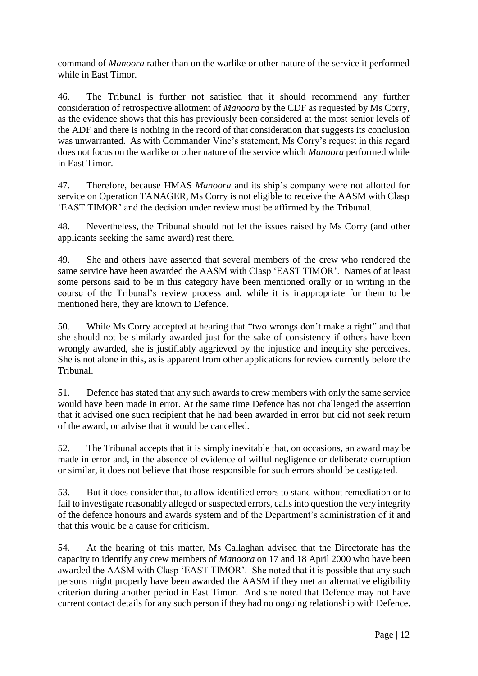command of *Manoora* rather than on the warlike or other nature of the service it performed while in East Timor.

46. The Tribunal is further not satisfied that it should recommend any further consideration of retrospective allotment of *Manoora* by the CDF as requested by Ms Corry, as the evidence shows that this has previously been considered at the most senior levels of the ADF and there is nothing in the record of that consideration that suggests its conclusion was unwarranted. As with Commander Vine's statement, Ms Corry's request in this regard does not focus on the warlike or other nature of the service which *Manoora* performed while in East Timor.

47. Therefore, because HMAS *Manoora* and its ship's company were not allotted for service on Operation TANAGER, Ms Corry is not eligible to receive the AASM with Clasp 'EAST TIMOR' and the decision under review must be affirmed by the Tribunal.

48. Nevertheless, the Tribunal should not let the issues raised by Ms Corry (and other applicants seeking the same award) rest there.

49. She and others have asserted that several members of the crew who rendered the same service have been awarded the AASM with Clasp 'EAST TIMOR'. Names of at least some persons said to be in this category have been mentioned orally or in writing in the course of the Tribunal's review process and, while it is inappropriate for them to be mentioned here, they are known to Defence.

50. While Ms Corry accepted at hearing that "two wrongs don't make a right" and that she should not be similarly awarded just for the sake of consistency if others have been wrongly awarded, she is justifiably aggrieved by the injustice and inequity she perceives. She is not alone in this, as is apparent from other applications for review currently before the Tribunal.

51. Defence has stated that any such awards to crew members with only the same service would have been made in error. At the same time Defence has not challenged the assertion that it advised one such recipient that he had been awarded in error but did not seek return of the award, or advise that it would be cancelled.

52. The Tribunal accepts that it is simply inevitable that, on occasions, an award may be made in error and, in the absence of evidence of wilful negligence or deliberate corruption or similar, it does not believe that those responsible for such errors should be castigated.

53. But it does consider that, to allow identified errors to stand without remediation or to fail to investigate reasonably alleged or suspected errors, calls into question the very integrity of the defence honours and awards system and of the Department's administration of it and that this would be a cause for criticism.

54. At the hearing of this matter, Ms Callaghan advised that the Directorate has the capacity to identify any crew members of *Manoora* on 17 and 18 April 2000 who have been awarded the AASM with Clasp 'EAST TIMOR'. She noted that it is possible that any such persons might properly have been awarded the AASM if they met an alternative eligibility criterion during another period in East Timor. And she noted that Defence may not have current contact details for any such person if they had no ongoing relationship with Defence.